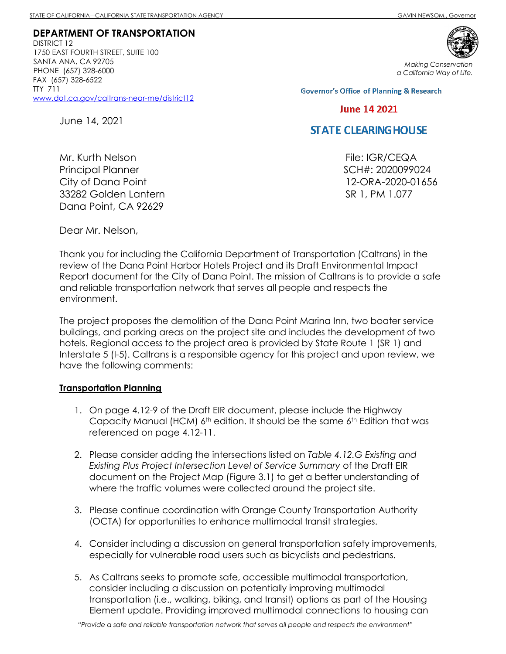DISTRICT 12 1750 EAST FOURTH STREET, SUITE 100 SANTA ANA, CA 92705 PHONE (657) 328-6000 FAX (657) 328-6522 TTY 711 www.dot.ca.gov/caltrans-near-me/district12

June 14, 2021



Making Conservation a California Way of Life.

**Governor's Office of Planning & Research** 

### **June 14 2021**

# **STATE CLEARING HOUSE**

File: IGR/CEQA SCH#: 2020099024 12-ORA-2020-01656 SR 1, PM 1.077

Mr. Kurth Nelson Principal Planner City of Dana Point 33282 Golden Lantern Dana Point, CA 92629

Dear Mr. Nelson,

Thank you for including the California Department of Transportation (Caltrans) in the review of the Dana Point Harbor Hotels Project and its Draft Environmental Impact Report document for the City of Dana Point. The mission of Caltrans is to provide a safe and reliable transportation network that serves all people and respects the environment.

The project proposes the demolition of the Dana Point Marina Inn, two boater service buildings, and parking areas on the project site and includes the development of two hotels. Regional access to the project area is provided by State Route 1 (SR 1) and Interstate 5 (I-5). Caltrans is a responsible agency for this project and upon review, we have the following comments:

#### Transportation Planning

- 1. On page 4.12-9 of the Draft EIR document, please include the Highway Capacity Manual (HCM)  $6<sup>th</sup>$  edition. It should be the same  $6<sup>th</sup>$  Edition that was referenced on page 4.12-11.
- 2. Please consider adding the intersections listed on Table 4.12.G Existing and Existing Plus Project Intersection Level of Service Summary of the Draft EIR document on the Project Map (Figure 3.1) to get a better understanding of where the traffic volumes were collected around the project site.
- 3. Please continue coordination with Orange County Transportation Authority (OCTA) for opportunities to enhance multimodal transit strategies.
- 4. Consider including a discussion on general transportation safety improvements, especially for vulnerable road users such as bicyclists and pedestrians.
- 5. As Caltrans seeks to promote safe, accessible multimodal transportation, consider including a discussion on potentially improving multimodal transportation (i.e., walking, biking, and transit) options as part of the Housing Element update. Providing improved multimodal connections to housing can